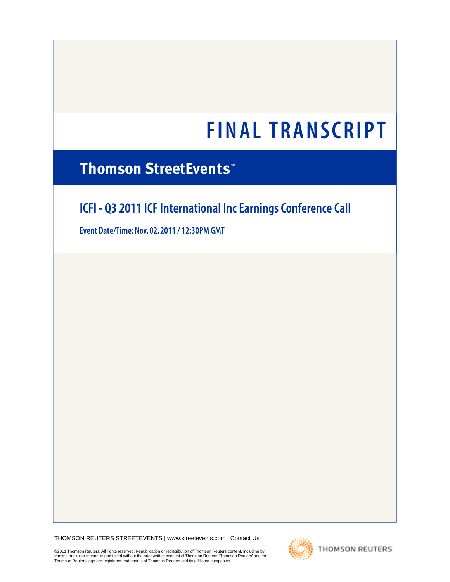# **Thomson StreetEvents**

# **ICFI - Q3 2011 ICF International Inc Earnings Conference Call**

**Event Date/Time: Nov. 02. 2011 / 12:30PM GMT**

THOMSON REUTERS STREETEVENTS | [www.streetevents.com](http://www.streetevents.com) | [Contact Us](http://www010.streetevents.com/contact.asp)

©2011 Thomson Reuters. All rights reserved. Republication or redistribution of Thomson Reuters content, including by framing or similar means, is prohibited without the prior written consent of Thomson Reuters. 'Thomson Reuters' and the<br>Thomson Reuters logo are registered trademarks of Thomson Reuters and its affiliated companies.

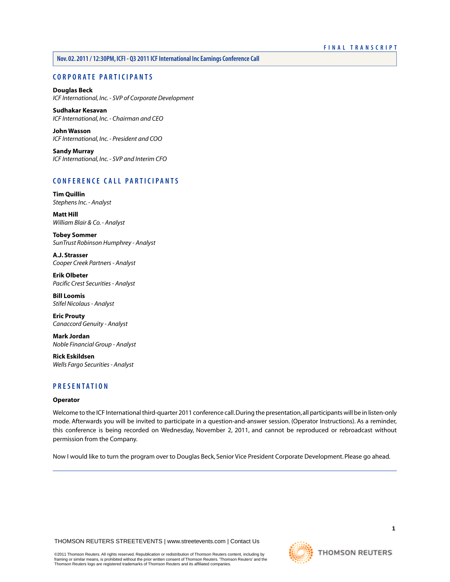# **Nov. 02. 2011 / 12:30PM, ICFI - Q3 2011 ICF International Inc Earnings Conference Call**

# **C ORPORA TE P A R TICIP ANTS**

**[Douglas Beck](#page-2-0)** *ICF International, Inc. - SVP of Corporate Development*

#### **[Sudhakar Kesavan](#page-2-1)** *ICF International, Inc. - Chairman and CEO*

**[John Wasson](#page-3-0)** *ICF International, Inc. - President and COO*

**[Sandy Murray](#page-4-0)** *ICF International, Inc. - SVP and Interim CFO*

# **C ONFERENCE C ALL P A R TICIP ANTS**

**[Tim Quillin](#page-6-0)** *Stephens Inc. - Analyst*

**[Matt Hill](#page-7-0)** *William Blair & Co. - Analyst*

**[Tobey Sommer](#page-8-0)** *SunTrust Robinson Humphrey - Analyst*

**[A.J. Strasser](#page-9-0)** *Cooper Creek Partners - Analyst*

**[Erik Olbeter](#page-10-0)** *Pacific Crest Securities - Analyst*

**[Bill Loomis](#page-11-0)** *Stifel Nicolaus - Analyst*

**[Eric Prouty](#page-14-0)** *Canaccord Genuity - Analyst*

**[Mark Jordan](#page-17-0)** *Noble Financial Group - Analyst*

**[Rick Eskildsen](#page-18-0)** *Wells Fargo Securities - Analyst*

# **PRESENT A TION**

# **Operator**

Welcome to the ICF International third-quarter 2011 conference call. During the presentation, all participants will be in listen-only mode. Afterwards you will be invited to participate in a question-and-answer session. (Operator Instructions). As a reminder, this conference is being recorded on Wednesday, November 2, 2011, and cannot be reproduced or rebroadcast without permission from the Company.

Now I would like to turn the program over to Douglas Beck, Senior Vice President Corporate Development. Please go ahead.

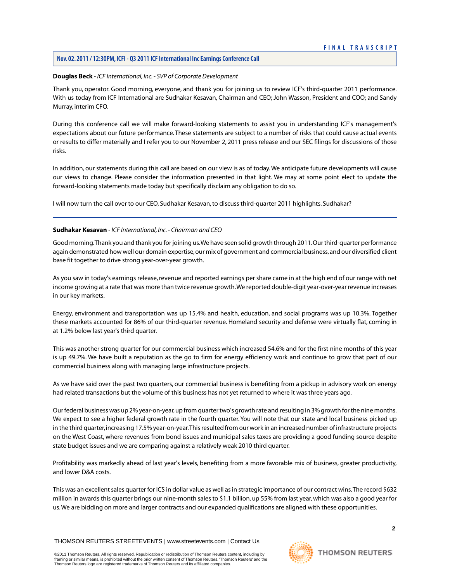# **Nov. 02. 2011 / 12:30PM, ICFI - Q3 2011 ICF International Inc Earnings Conference Call**

## <span id="page-2-0"></span>**Douglas Beck** *- ICF International, Inc. - SVP of Corporate Development*

Thank you, operator. Good morning, everyone, and thank you for joining us to review ICF's third-quarter 2011 performance. With us today from ICF International are Sudhakar Kesavan, Chairman and CEO; John Wasson, President and COO; and Sandy Murray, interim CFO.

During this conference call we will make forward-looking statements to assist you in understanding ICF's management's expectations about our future performance.These statements are subject to a number of risks that could cause actual events or results to differ materially and I refer you to our November 2, 2011 press release and our SEC filings for discussions of those risks.

In addition, our statements during this call are based on our view is as of today.We anticipate future developments will cause our views to change. Please consider the information presented in that light. We may at some point elect to update the forward-looking statements made today but specifically disclaim any obligation to do so.

<span id="page-2-1"></span>I will now turn the call over to our CEO, Sudhakar Kesavan, to discuss third-quarter 2011 highlights. Sudhakar?

# **Sudhakar Kesavan** *- ICF International, Inc. - Chairman and CEO*

Good morning.Thank you and thank you for joining us.We have seen solid growth through 2011. Our third-quarter performance again demonstrated how well our domain expertise, our mix of government and commercial business, and our diversified client base fit together to drive strong year-over-year growth.

As you saw in today's earnings release, revenue and reported earnings per share came in at the high end of our range with net income growing at a rate that was more than twice revenue growth.We reported double-digit year-over-year revenue increases in our key markets.

Energy, environment and transportation was up 15.4% and health, education, and social programs was up 10.3%. Together these markets accounted for 86% of our third-quarter revenue. Homeland security and defense were virtually flat, coming in at 1.2% below last year's third quarter.

This was another strong quarter for our commercial business which increased 54.6% and for the first nine months of this year is up 49.7%. We have built a reputation as the go to firm for energy efficiency work and continue to grow that part of our commercial business along with managing large infrastructure projects.

As we have said over the past two quarters, our commercial business is benefiting from a pickup in advisory work on energy had related transactions but the volume of this business has not yet returned to where it was three years ago.

Our federal business was up 2% year-on-year, up from quarter two's growth rate and resulting in 3% growth for the nine months. We expect to see a higher federal growth rate in the fourth quarter. You will note that our state and local business picked up in the third quarter, increasing 17.5% year-on-year.This resulted from our work in an increased number of infrastructure projects on the West Coast, where revenues from bond issues and municipal sales taxes are providing a good funding source despite state budget issues and we are comparing against a relatively weak 2010 third quarter.

Profitability was markedly ahead of last year's levels, benefiting from a more favorable mix of business, greater productivity, and lower D&A costs.

This was an excellent sales quarter for ICS in dollar value as well as in strategic importance of our contract wins.The record \$632 million in awards this quarter brings our nine-month sales to \$1.1 billion, up 55% from last year, which was also a good year for us.We are bidding on more and larger contracts and our expanded qualifications are aligned with these opportunities.

THOMSON REUTERS STREETEVENTS | [www.streetevents.com](http://www.streetevents.com) | [Contact Us](http://www010.streetevents.com/contact.asp)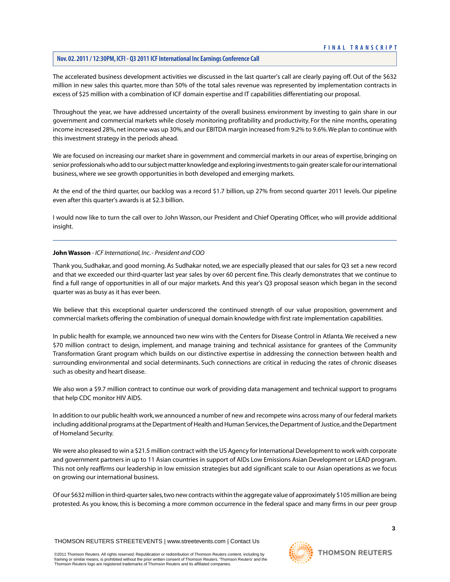# **Nov. 02. 2011 / 12:30PM, ICFI - Q3 2011 ICF International Inc Earnings Conference Call**

The accelerated business development activities we discussed in the last quarter's call are clearly paying off. Out of the \$632 million in new sales this quarter, more than 50% of the total sales revenue was represented by implementation contracts in excess of \$25 million with a combination of ICF domain expertise and IT capabilities differentiating our proposal.

Throughout the year, we have addressed uncertainty of the overall business environment by investing to gain share in our government and commercial markets while closely monitoring profitability and productivity. For the nine months, operating income increased 28%, net income was up 30%, and our EBITDA margin increased from 9.2% to 9.6%.We plan to continue with this investment strategy in the periods ahead.

We are focused on increasing our market share in government and commercial markets in our areas of expertise, bringing on senior professionals who add to our subject matter knowledge and exploring investments to gain greater scale for our international business, where we see growth opportunities in both developed and emerging markets.

At the end of the third quarter, our backlog was a record \$1.7 billion, up 27% from second quarter 2011 levels. Our pipeline even after this quarter's awards is at \$2.3 billion.

<span id="page-3-0"></span>I would now like to turn the call over to John Wasson, our President and Chief Operating Officer, who will provide additional insight.

# **John Wasson** *- ICF International, Inc. - President and COO*

Thank you, Sudhakar, and good morning. As Sudhakar noted, we are especially pleased that our sales for Q3 set a new record and that we exceeded our third-quarter last year sales by over 60 percent fine. This clearly demonstrates that we continue to find a full range of opportunities in all of our major markets. And this year's Q3 proposal season which began in the second quarter was as busy as it has ever been.

We believe that this exceptional quarter underscored the continued strength of our value proposition, government and commercial markets offering the combination of unequal domain knowledge with first rate implementation capabilities.

In public health for example, we announced two new wins with the Centers for Disease Control in Atlanta.We received a new \$70 million contract to design, implement, and manage training and technical assistance for grantees of the Community Transformation Grant program which builds on our distinctive expertise in addressing the connection between health and surrounding environmental and social determinants. Such connections are critical in reducing the rates of chronic diseases such as obesity and heart disease.

We also won a \$9.7 million contract to continue our work of providing data management and technical support to programs that help CDC monitor HIV AIDS.

In addition to our public health work, we announced a number of new and recompete wins across many of our federal markets including additional programs at the Department of Health and Human Services, the Department of Justice, and the Department of Homeland Security.

We were also pleased to win a \$21.5 million contract with the US Agency for International Development to work with corporate and government partners in up to 11 Asian countries in support of AIDs Low Emissions Asian Development or LEAD program. This not only reaffirms our leadership in low emission strategies but add significant scale to our Asian operations as we focus on growing our international business.

Of our \$632 million in third-quarter sales, two new contracts within the aggregate value of approximately \$105 million are being protested. As you know, this is becoming a more common occurrence in the federal space and many firms in our peer group

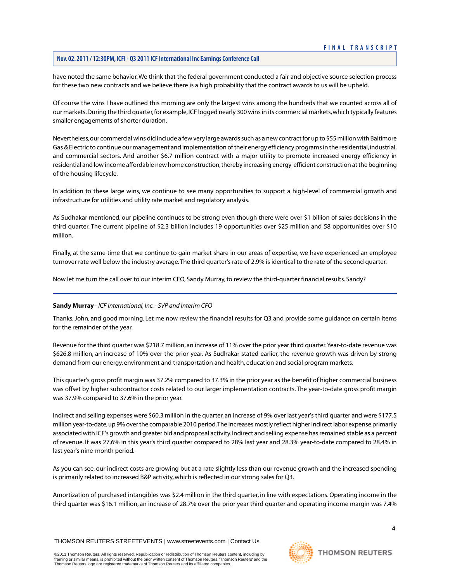have noted the same behavior.We think that the federal government conducted a fair and objective source selection process for these two new contracts and we believe there is a high probability that the contract awards to us will be upheld.

Of course the wins I have outlined this morning are only the largest wins among the hundreds that we counted across all of our markets. During the third quarter, for example, ICF logged nearly 300 wins in its commercial markets, which typically features smaller engagements of shorter duration.

Nevertheless, our commercial wins did include a few very large awards such as a new contract for up to \$55 million with Baltimore Gas & Electric to continue our management and implementation of their energy efficiency programs in the residential, industrial, and commercial sectors. And another \$6.7 million contract with a major utility to promote increased energy efficiency in residential and low income affordable new home construction, thereby increasing energy-efficient construction at the beginning of the housing lifecycle.

In addition to these large wins, we continue to see many opportunities to support a high-level of commercial growth and infrastructure for utilities and utility rate market and regulatory analysis.

As Sudhakar mentioned, our pipeline continues to be strong even though there were over \$1 billion of sales decisions in the third quarter. The current pipeline of \$2.3 billion includes 19 opportunities over \$25 million and 58 opportunities over \$10 million.

Finally, at the same time that we continue to gain market share in our areas of expertise, we have experienced an employee turnover rate well below the industry average.The third quarter's rate of 2.9% is identical to the rate of the second quarter.

<span id="page-4-0"></span>Now let me turn the call over to our interim CFO, Sandy Murray, to review the third-quarter financial results. Sandy?

#### **Sandy Murray** *- ICF International, Inc. - SVP and Interim CFO*

Thanks, John, and good morning. Let me now review the financial results for Q3 and provide some guidance on certain items for the remainder of the year.

Revenue for the third quarter was \$218.7 million, an increase of 11% over the prior year third quarter.Year-to-date revenue was \$626.8 million, an increase of 10% over the prior year. As Sudhakar stated earlier, the revenue growth was driven by strong demand from our energy, environment and transportation and health, education and social program markets.

This quarter's gross profit margin was 37.2% compared to 37.3% in the prior year as the benefit of higher commercial business was offset by higher subcontractor costs related to our larger implementation contracts.The year-to-date gross profit margin was 37.9% compared to 37.6% in the prior year.

Indirect and selling expenses were \$60.3 million in the quarter, an increase of 9% over last year's third quarter and were \$177.5 million year-to-date, up 9% over the comparable 2010 period.The increases mostly reflect higher indirect labor expense primarily associated with ICF's growth and greater bid and proposal activity. Indirect and selling expense has remained stable as a percent of revenue. It was 27.6% in this year's third quarter compared to 28% last year and 28.3% year-to-date compared to 28.4% in last year's nine-month period.

As you can see, our indirect costs are growing but at a rate slightly less than our revenue growth and the increased spending is primarily related to increased B&P activity, which is reflected in our strong sales for Q3.

Amortization of purchased intangibles was \$2.4 million in the third quarter, in line with expectations. Operating income in the third quarter was \$16.1 million, an increase of 28.7% over the prior year third quarter and operating income margin was 7.4%

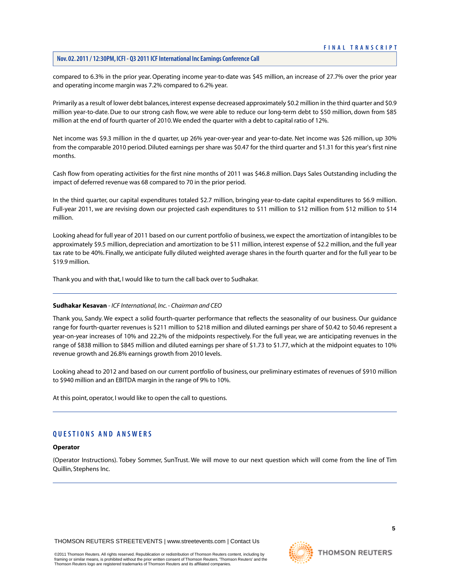compared to 6.3% in the prior year. Operating income year-to-date was \$45 million, an increase of 27.7% over the prior year and operating income margin was 7.2% compared to 6.2% year.

Primarily as a result of lower debt balances, interest expense decreased approximately \$0.2 million in the third quarter and \$0.9 million year-to-date. Due to our strong cash flow, we were able to reduce our long-term debt to \$50 million, down from \$85 million at the end of fourth quarter of 2010.We ended the quarter with a debt to capital ratio of 12%.

Net income was \$9.3 million in the d quarter, up 26% year-over-year and year-to-date. Net income was \$26 million, up 30% from the comparable 2010 period. Diluted earnings per share was \$0.47 for the third quarter and \$1.31 for this year's first nine months.

Cash flow from operating activities for the first nine months of 2011 was \$46.8 million. Days Sales Outstanding including the impact of deferred revenue was 68 compared to 70 in the prior period.

In the third quarter, our capital expenditures totaled \$2.7 million, bringing year-to-date capital expenditures to \$6.9 million. Full-year 2011, we are revising down our projected cash expenditures to \$11 million to \$12 million from \$12 million to \$14 million.

Looking ahead for full year of 2011 based on our current portfolio of business, we expect the amortization of intangibles to be approximately \$9.5 million, depreciation and amortization to be \$11 million, interest expense of \$2.2 million, and the full year tax rate to be 40%. Finally, we anticipate fully diluted weighted average shares in the fourth quarter and for the full year to be \$19.9 million.

Thank you and with that, I would like to turn the call back over to Sudhakar.

#### **Sudhakar Kesavan** *- ICF International, Inc. - Chairman and CEO*

Thank you, Sandy. We expect a solid fourth-quarter performance that reflects the seasonality of our business. Our guidance range for fourth-quarter revenues is \$211 million to \$218 million and diluted earnings per share of \$0.42 to \$0.46 represent a year-on-year increases of 10% and 22.2% of the midpoints respectively. For the full year, we are anticipating revenues in the range of \$838 million to \$845 million and diluted earnings per share of \$1.73 to \$1.77, which at the midpoint equates to 10% revenue growth and 26.8% earnings growth from 2010 levels.

Looking ahead to 2012 and based on our current portfolio of business, our preliminary estimates of revenues of \$910 million to \$940 million and an EBITDA margin in the range of 9% to 10%.

At this point, operator, I would like to open the call to questions.

# **QUESTIONS AND ANSWERS**

#### **Operator**

(Operator Instructions). Tobey Sommer, SunTrust. We will move to our next question which will come from the line of Tim Quillin, Stephens Inc.

THOMSON REUTERS STREETEVENTS | [www.streetevents.com](http://www.streetevents.com) | [Contact Us](http://www010.streetevents.com/contact.asp)

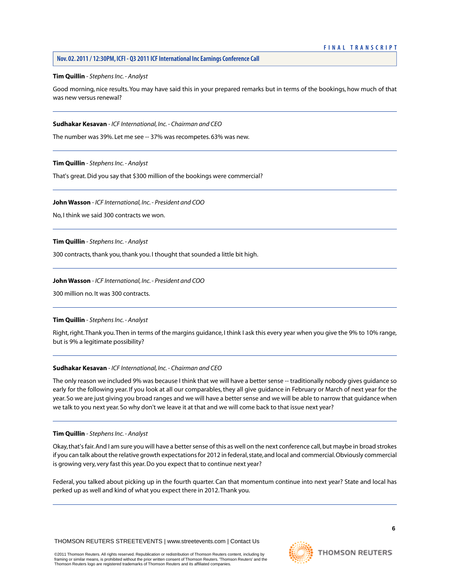#### <span id="page-6-0"></span>**Tim Quillin** *- Stephens Inc. - Analyst*

Good morning, nice results.You may have said this in your prepared remarks but in terms of the bookings, how much of that was new versus renewal?

**Sudhakar Kesavan** *- ICF International, Inc. - Chairman and CEO*

The number was 39%. Let me see -- 37% was recompetes. 63% was new.

**Tim Quillin** *- Stephens Inc. - Analyst*

That's great. Did you say that \$300 million of the bookings were commercial?

# **John Wasson** *- ICF International, Inc. - President and COO*

No, I think we said 300 contracts we won.

#### **Tim Quillin** *- Stephens Inc. - Analyst*

300 contracts, thank you, thank you. I thought that sounded a little bit high.

#### **John Wasson** *- ICF International, Inc. - President and COO*

300 million no. It was 300 contracts.

# **Tim Quillin** *- Stephens Inc. - Analyst*

Right, right.Thank you.Then in terms of the margins guidance, I think I ask this every year when you give the 9% to 10% range, but is 9% a legitimate possibility?

#### **Sudhakar Kesavan** *- ICF International, Inc. - Chairman and CEO*

The only reason we included 9% was because I think that we will have a better sense -- traditionally nobody gives guidance so early for the following year. If you look at all our comparables, they all give guidance in February or March of next year for the year. So we are just giving you broad ranges and we will have a better sense and we will be able to narrow that guidance when we talk to you next year. So why don't we leave it at that and we will come back to that issue next year?

#### **Tim Quillin** *- Stephens Inc. - Analyst*

Okay, that's fair. And I am sure you will have a better sense of this as well on the next conference call, but maybe in broad strokes if you can talk about the relative growth expectations for 2012 in federal, state, and local and commercial. Obviously commercial is growing very, very fast this year. Do you expect that to continue next year?

Federal, you talked about picking up in the fourth quarter. Can that momentum continue into next year? State and local has perked up as well and kind of what you expect there in 2012.Thank you.

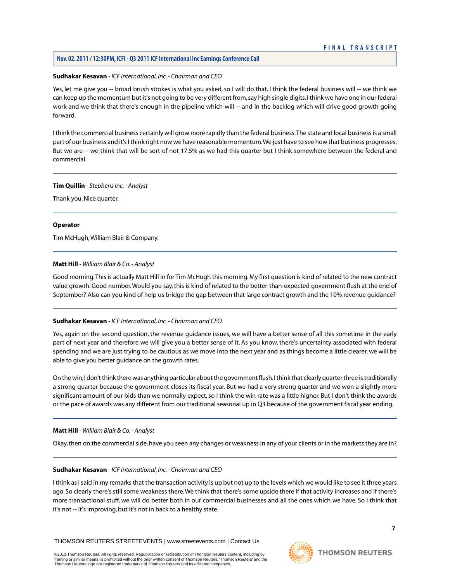# **Nov. 02. 2011 / 12:30PM, ICFI - Q3 2011 ICF International Inc Earnings Conference Call**

#### **Sudhakar Kesavan** *- ICF International, Inc. - Chairman and CEO*

Yes, let me give you -- broad brush strokes is what you asked, so I will do that. I think the federal business will -- we think we can keep up the momentum but it's not going to be very different from, say high single digits. I think we have one in our federal work and we think that there's enough in the pipeline which will -- and in the backlog which will drive good growth going forward.

I think the commercial business certainly will grow more rapidly than the federal business.The state and local business is a small part of our business and it's I think right now we have reasonable momentum.We just have to see how that business progresses. But we are -- we think that will be sort of not 17.5% as we had this quarter but I think somewhere between the federal and commercial.

# **Tim Quillin** *- Stephens Inc. - Analyst*

Thank you. Nice quarter.

# **Operator**

<span id="page-7-0"></span>Tim McHugh,William Blair & Company.

# **Matt Hill** *- William Blair & Co. - Analyst*

Good morning.This is actually Matt Hill in for Tim McHugh this morning. My first question is kind of related to the new contract value growth. Good number.Would you say, this is kind of related to the better-than-expected government flush at the end of September? Also can you kind of help us bridge the gap between that large contract growth and the 10% revenue guidance?

# **Sudhakar Kesavan** *- ICF International, Inc. - Chairman and CEO*

Yes, again on the second question, the revenue guidance issues, we will have a better sense of all this sometime in the early part of next year and therefore we will give you a better sense of it. As you know, there's uncertainty associated with federal spending and we are just trying to be cautious as we move into the next year and as things become a little clearer, we will be able to give you better guidance on the growth rates.

On the win, I don't think there was anything particular about the government flush. I think that clearly quarter three is traditionally a strong quarter because the government closes its fiscal year. But we had a very strong quarter and we won a slightly more significant amount of our bids than we normally expect, so I think the win rate was a little higher. But I don't think the awards or the pace of awards was any different from our traditional seasonal up in Q3 because of the government fiscal year ending.

# **Matt Hill** *- William Blair & Co. - Analyst*

Okay, then on the commercial side, have you seen any changes or weakness in any of your clients or in the markets they are in?

# **Sudhakar Kesavan** *- ICF International, Inc. - Chairman and CEO*

I think as I said in my remarks that the transaction activity is up but not up to the levels which we would like to see it three years ago. So clearly there's still some weakness there.We think that there's some upside there if that activity increases and if there's more transactional stuff, we will do better both in our commercial businesses and all the ones which we have. So I think that it's not -- it's improving, but it's not in back to a healthy state.



**7**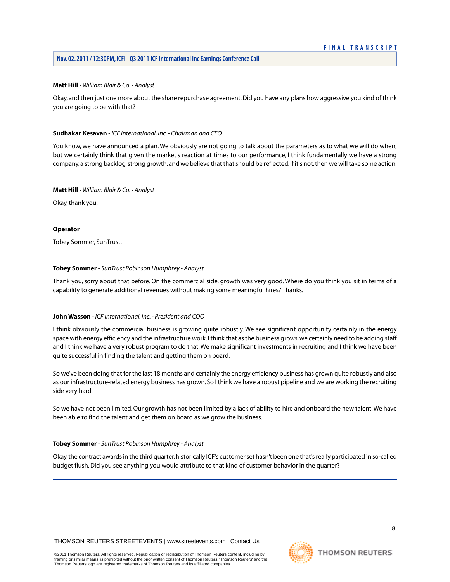## **Nov. 02. 2011 / 12:30PM, ICFI - Q3 2011 ICF International Inc Earnings Conference Call**

#### **Matt Hill** *- William Blair & Co. - Analyst*

Okay, and then just one more about the share repurchase agreement. Did you have any plans how aggressive you kind of think you are going to be with that?

#### **Sudhakar Kesavan** *- ICF International, Inc. - Chairman and CEO*

You know, we have announced a plan. We obviously are not going to talk about the parameters as to what we will do when, but we certainly think that given the market's reaction at times to our performance, I think fundamentally we have a strong company, a strong backlog, strong growth, and we believe that that should be reflected. If it's not, then we will take some action.

#### **Matt Hill** *- William Blair & Co. - Analyst*

Okay, thank you.

#### **Operator**

<span id="page-8-0"></span>Tobey Sommer, SunTrust.

#### **Tobey Sommer** *- SunTrust Robinson Humphrey - Analyst*

Thank you, sorry about that before. On the commercial side, growth was very good. Where do you think you sit in terms of a capability to generate additional revenues without making some meaningful hires? Thanks.

#### **John Wasson** *- ICF International, Inc. - President and COO*

I think obviously the commercial business is growing quite robustly. We see significant opportunity certainly in the energy space with energy efficiency and the infrastructure work. I think that as the business grows, we certainly need to be adding staff and I think we have a very robust program to do that.We make significant investments in recruiting and I think we have been quite successful in finding the talent and getting them on board.

So we've been doing that for the last 18 months and certainly the energy efficiency business has grown quite robustly and also as our infrastructure-related energy business has grown. So I think we have a robust pipeline and we are working the recruiting side very hard.

So we have not been limited. Our growth has not been limited by a lack of ability to hire and onboard the new talent.We have been able to find the talent and get them on board as we grow the business.

#### **Tobey Sommer** *- SunTrust Robinson Humphrey - Analyst*

Okay, the contract awards in the third quarter, historically ICF's customer set hasn't been one that's really participated in so-called budget flush. Did you see anything you would attribute to that kind of customer behavior in the quarter?

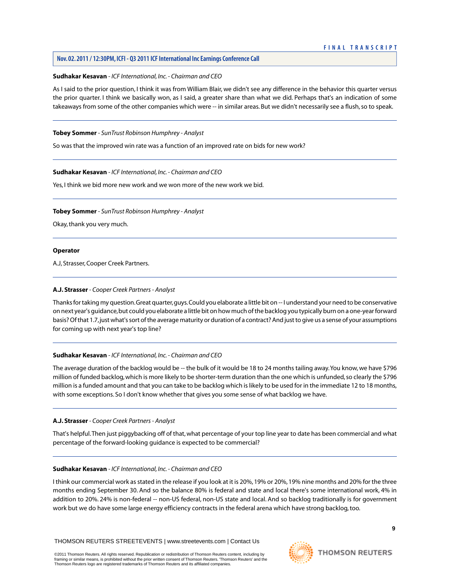# **Nov. 02. 2011 / 12:30PM, ICFI - Q3 2011 ICF International Inc Earnings Conference Call**

#### **Sudhakar Kesavan** *- ICF International, Inc. - Chairman and CEO*

As I said to the prior question, I think it was from William Blair, we didn't see any difference in the behavior this quarter versus the prior quarter. I think we basically won, as I said, a greater share than what we did. Perhaps that's an indication of some takeaways from some of the other companies which were -- in similar areas. But we didn't necessarily see a flush, so to speak.

#### **Tobey Sommer** *- SunTrust Robinson Humphrey - Analyst*

So was that the improved win rate was a function of an improved rate on bids for new work?

#### **Sudhakar Kesavan** *- ICF International, Inc. - Chairman and CEO*

Yes, I think we bid more new work and we won more of the new work we bid.

#### **Tobey Sommer** *- SunTrust Robinson Humphrey - Analyst*

Okay, thank you very much.

#### **Operator**

<span id="page-9-0"></span>A.J, Strasser, Cooper Creek Partners.

## **A.J. Strasser** *- Cooper Creek Partners - Analyst*

Thanks for taking my question. Great quarter, guys. Could you elaborate a little bit on -- I understand your need to be conservative on next year's guidance, but could you elaborate a little bit on how much of the backlog you typically burn on a one-year forward basis? Of that 1.7, just what's sort of the average maturity or duration of a contract? And just to give us a sense of your assumptions for coming up with next year's top line?

#### **Sudhakar Kesavan** *- ICF International, Inc. - Chairman and CEO*

The average duration of the backlog would be -- the bulk of it would be 18 to 24 months tailing away. You know, we have \$796 million of funded backlog, which is more likely to be shorter-term duration than the one which is unfunded, so clearly the \$796 million is a funded amount and that you can take to be backlog which is likely to be used for in the immediate 12 to 18 months, with some exceptions. So I don't know whether that gives you some sense of what backlog we have.

#### **A.J. Strasser** *- Cooper Creek Partners - Analyst*

That's helpful.Then just piggybacking off of that, what percentage of your top line year to date has been commercial and what percentage of the forward-looking guidance is expected to be commercial?

# **Sudhakar Kesavan** *- ICF International, Inc. - Chairman and CEO*

I think our commercial work as stated in the release if you look at it is 20%, 19% or 20%, 19% nine months and 20% for the three months ending September 30. And so the balance 80% is federal and state and local there's some international work, 4% in addition to 20%. 24% is non-federal -- non-US federal, non-US state and local. And so backlog traditionally is for government work but we do have some large energy efficiency contracts in the federal arena which have strong backlog, too.



**9**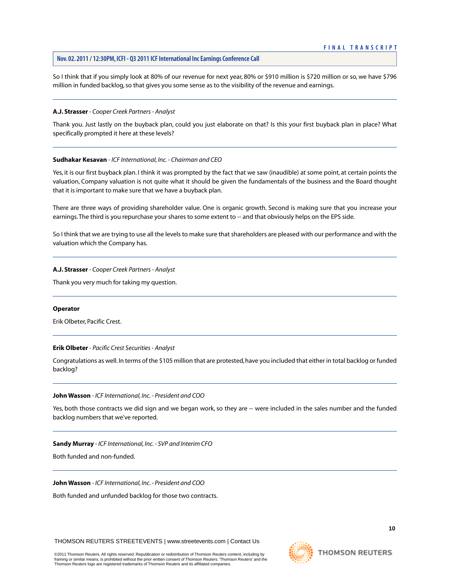So I think that if you simply look at 80% of our revenue for next year, 80% or \$910 million is \$720 million or so, we have \$796 million in funded backlog, so that gives you some sense as to the visibility of the revenue and earnings.

#### **A.J. Strasser** *- Cooper Creek Partners - Analyst*

Thank you. Just lastly on the buyback plan, could you just elaborate on that? Is this your first buyback plan in place? What specifically prompted it here at these levels?

#### **Sudhakar Kesavan** *- ICF International, Inc. - Chairman and CEO*

Yes, it is our first buyback plan. I think it was prompted by the fact that we saw (inaudible) at some point, at certain points the valuation, Company valuation is not quite what it should be given the fundamentals of the business and the Board thought that it is important to make sure that we have a buyback plan.

There are three ways of providing shareholder value. One is organic growth. Second is making sure that you increase your earnings.The third is you repurchase your shares to some extent to -- and that obviously helps on the EPS side.

So I think that we are trying to use all the levels to make sure that shareholders are pleased with our performance and with the valuation which the Company has.

#### **A.J. Strasser** *- Cooper Creek Partners - Analyst*

Thank you very much for taking my question.

#### <span id="page-10-0"></span>**Operator**

Erik Olbeter, Pacific Crest.

# **Erik Olbeter** *- Pacific Crest Securities - Analyst*

Congratulations as well. In terms of the \$105 million that are protested, have you included that either in total backlog or funded backlog?

#### **John Wasson** *- ICF International, Inc. - President and COO*

Yes, both those contracts we did sign and we began work, so they are -- were included in the sales number and the funded backlog numbers that we've reported.

#### **Sandy Murray** *- ICF International, Inc. - SVP and Interim CFO*

Both funded and non-funded.

#### **John Wasson** *- ICF International, Inc. - President and COO*

Both funded and unfunded backlog for those two contracts.

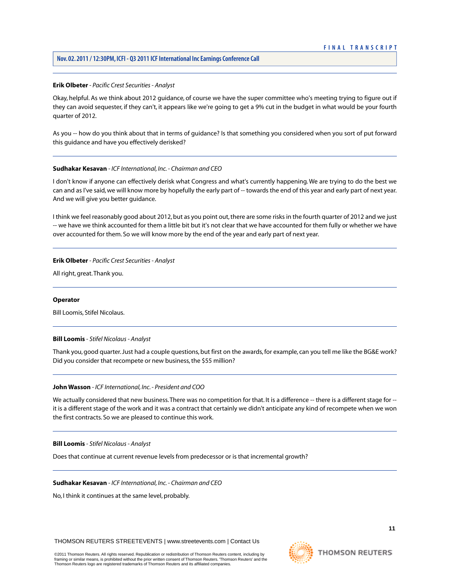# **Nov. 02. 2011 / 12:30PM, ICFI - Q3 2011 ICF International Inc Earnings Conference Call**

#### **Erik Olbeter** *- Pacific Crest Securities - Analyst*

Okay, helpful. As we think about 2012 guidance, of course we have the super committee who's meeting trying to figure out if they can avoid sequester, if they can't, it appears like we're going to get a 9% cut in the budget in what would be your fourth quarter of 2012.

As you -- how do you think about that in terms of guidance? Is that something you considered when you sort of put forward this guidance and have you effectively derisked?

#### **Sudhakar Kesavan** *- ICF International, Inc. - Chairman and CEO*

I don't know if anyone can effectively derisk what Congress and what's currently happening.We are trying to do the best we can and as I've said, we will know more by hopefully the early part of -- towards the end of this year and early part of next year. And we will give you better guidance.

I think we feel reasonably good about 2012, but as you point out, there are some risks in the fourth quarter of 2012 and we just -- we have we think accounted for them a little bit but it's not clear that we have accounted for them fully or whether we have over accounted for them. So we will know more by the end of the year and early part of next year.

#### **Erik Olbeter** *- Pacific Crest Securities - Analyst*

All right, great.Thank you.

#### <span id="page-11-0"></span>**Operator**

Bill Loomis, Stifel Nicolaus.

#### **Bill Loomis** *- Stifel Nicolaus - Analyst*

Thank you, good quarter. Just had a couple questions, but first on the awards, for example, can you tell me like the BG&E work? Did you consider that recompete or new business, the \$55 million?

#### **John Wasson** *- ICF International, Inc. - President and COO*

We actually considered that new business. There was no competition for that. It is a difference -- there is a different stage for -it is a different stage of the work and it was a contract that certainly we didn't anticipate any kind of recompete when we won the first contracts. So we are pleased to continue this work.

#### **Bill Loomis** *- Stifel Nicolaus - Analyst*

Does that continue at current revenue levels from predecessor or is that incremental growth?

#### **Sudhakar Kesavan** *- ICF International, Inc. - Chairman and CEO*

No, I think it continues at the same level, probably.

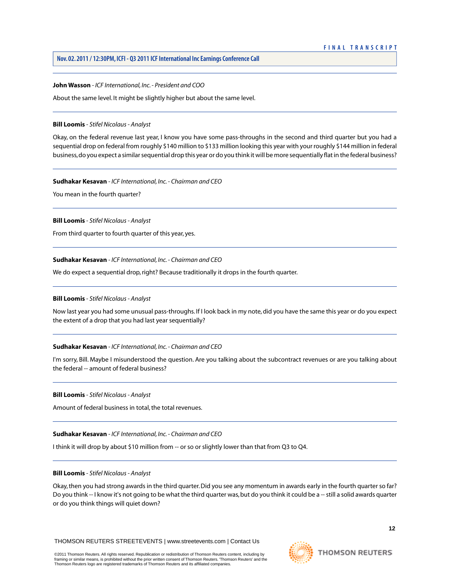## **John Wasson** *- ICF International, Inc. - President and COO*

About the same level. It might be slightly higher but about the same level.

#### **Bill Loomis** *- Stifel Nicolaus - Analyst*

Okay, on the federal revenue last year, I know you have some pass-throughs in the second and third quarter but you had a sequential drop on federal from roughly \$140 million to \$133 million looking this year with your roughly \$144 million in federal business, do you expect a similar sequential drop this year or do you think it will be more sequentially flat in the federal business?

#### **Sudhakar Kesavan** *- ICF International, Inc. - Chairman and CEO*

You mean in the fourth quarter?

# **Bill Loomis** *- Stifel Nicolaus - Analyst*

From third quarter to fourth quarter of this year, yes.

#### **Sudhakar Kesavan** *- ICF International, Inc. - Chairman and CEO*

We do expect a sequential drop, right? Because traditionally it drops in the fourth quarter.

### **Bill Loomis** *- Stifel Nicolaus - Analyst*

Now last year you had some unusual pass-throughs. If I look back in my note, did you have the same this year or do you expect the extent of a drop that you had last year sequentially?

# **Sudhakar Kesavan** *- ICF International, Inc. - Chairman and CEO*

I'm sorry, Bill. Maybe I misunderstood the question. Are you talking about the subcontract revenues or are you talking about the federal -- amount of federal business?

#### **Bill Loomis** *- Stifel Nicolaus - Analyst*

Amount of federal business in total, the total revenues.

#### **Sudhakar Kesavan** *- ICF International, Inc. - Chairman and CEO*

I think it will drop by about \$10 million from -- or so or slightly lower than that from Q3 to Q4.

# **Bill Loomis** *- Stifel Nicolaus - Analyst*

Okay, then you had strong awards in the third quarter. Did you see any momentum in awards early in the fourth quarter so far? Do you think -- I know it's not going to be what the third quarter was, but do you think it could be a -- still a solid awards quarter or do you think things will quiet down?

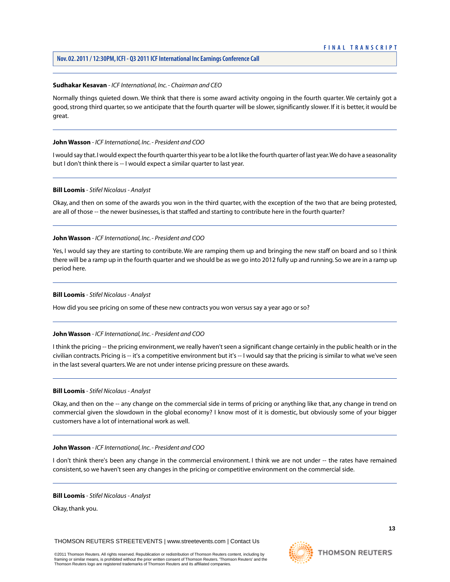# **Nov. 02. 2011 / 12:30PM, ICFI - Q3 2011 ICF International Inc Earnings Conference Call**

# **Sudhakar Kesavan** *- ICF International, Inc. - Chairman and CEO*

Normally things quieted down. We think that there is some award activity ongoing in the fourth quarter. We certainly got a good, strong third quarter, so we anticipate that the fourth quarter will be slower, significantly slower. If it is better, it would be great.

## **John Wasson** *- ICF International, Inc. - President and COO*

I would say that. I would expect the fourth quarter this year to be a lot like the fourth quarter of last year.We do have a seasonality but I don't think there is -- I would expect a similar quarter to last year.

# **Bill Loomis** *- Stifel Nicolaus - Analyst*

Okay, and then on some of the awards you won in the third quarter, with the exception of the two that are being protested, are all of those -- the newer businesses, is that staffed and starting to contribute here in the fourth quarter?

# **John Wasson** *- ICF International, Inc. - President and COO*

Yes, I would say they are starting to contribute. We are ramping them up and bringing the new staff on board and so I think there will be a ramp up in the fourth quarter and we should be as we go into 2012 fully up and running. So we are in a ramp up period here.

## **Bill Loomis** *- Stifel Nicolaus - Analyst*

How did you see pricing on some of these new contracts you won versus say a year ago or so?

#### **John Wasson** *- ICF International, Inc. - President and COO*

I think the pricing -- the pricing environment, we really haven't seen a significant change certainly in the public health or in the civilian contracts. Pricing is -- it's a competitive environment but it's -- I would say that the pricing is similar to what we've seen in the last several quarters.We are not under intense pricing pressure on these awards.

#### **Bill Loomis** *- Stifel Nicolaus - Analyst*

Okay, and then on the -- any change on the commercial side in terms of pricing or anything like that, any change in trend on commercial given the slowdown in the global economy? I know most of it is domestic, but obviously some of your bigger customers have a lot of international work as well.

#### **John Wasson** *- ICF International, Inc. - President and COO*

I don't think there's been any change in the commercial environment. I think we are not under -- the rates have remained consistent, so we haven't seen any changes in the pricing or competitive environment on the commercial side.

#### **Bill Loomis** *- Stifel Nicolaus - Analyst*

Okay, thank you.

THOMSON REUTERS STREETEVENTS | [www.streetevents.com](http://www.streetevents.com) | [Contact Us](http://www010.streetevents.com/contact.asp)

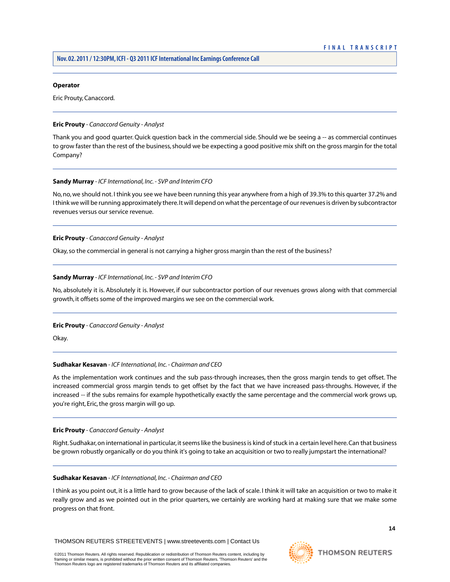#### **Operator**

Eric Prouty, Canaccord.

# <span id="page-14-0"></span>**Eric Prouty** *- Canaccord Genuity - Analyst*

Thank you and good quarter. Quick question back in the commercial side. Should we be seeing a -- as commercial continues to grow faster than the rest of the business, should we be expecting a good positive mix shift on the gross margin for the total Company?

#### **Sandy Murray** *- ICF International, Inc. - SVP and Interim CFO*

No, no, we should not. I think you see we have been running this year anywhere from a high of 39.3% to this quarter 37.2% and I think we will be running approximately there. It will depend on what the percentage of our revenues is driven by subcontractor revenues versus our service revenue.

#### **Eric Prouty** *- Canaccord Genuity - Analyst*

Okay, so the commercial in general is not carrying a higher gross margin than the rest of the business?

#### **Sandy Murray** *- ICF International, Inc. - SVP and Interim CFO*

No, absolutely it is. Absolutely it is. However, if our subcontractor portion of our revenues grows along with that commercial growth, it offsets some of the improved margins we see on the commercial work.

#### **Eric Prouty** *- Canaccord Genuity - Analyst*

Okay.

# **Sudhakar Kesavan** *- ICF International, Inc. - Chairman and CEO*

As the implementation work continues and the sub pass-through increases, then the gross margin tends to get offset. The increased commercial gross margin tends to get offset by the fact that we have increased pass-throughs. However, if the increased -- if the subs remains for example hypothetically exactly the same percentage and the commercial work grows up, you're right, Eric, the gross margin will go up.

#### **Eric Prouty** *- Canaccord Genuity - Analyst*

Right. Sudhakar, on international in particular, it seems like the business is kind of stuck in a certain level here. Can that business be grown robustly organically or do you think it's going to take an acquisition or two to really jumpstart the international?

#### **Sudhakar Kesavan** *- ICF International, Inc. - Chairman and CEO*

I think as you point out, it is a little hard to grow because of the lack of scale. I think it will take an acquisition or two to make it really grow and as we pointed out in the prior quarters, we certainly are working hard at making sure that we make some progress on that front.

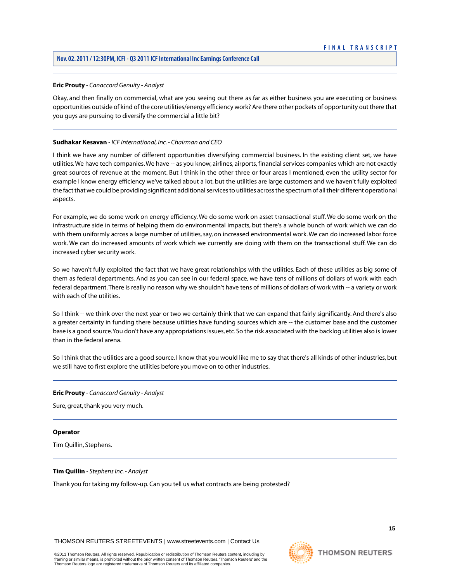# **Eric Prouty** *- Canaccord Genuity - Analyst*

Okay, and then finally on commercial, what are you seeing out there as far as either business you are executing or business opportunities outside of kind of the core utilities/energy efficiency work? Are there other pockets of opportunity out there that you guys are pursuing to diversify the commercial a little bit?

# **Sudhakar Kesavan** *- ICF International, Inc. - Chairman and CEO*

I think we have any number of different opportunities diversifying commercial business. In the existing client set, we have utilities.We have tech companies.We have -- as you know, airlines, airports, financial services companies which are not exactly great sources of revenue at the moment. But I think in the other three or four areas I mentioned, even the utility sector for example I know energy efficiency we've talked about a lot, but the utilities are large customers and we haven't fully exploited the fact that we could be providing significant additional services to utilities across the spectrum of all their different operational aspects.

For example, we do some work on energy efficiency. We do some work on asset transactional stuff. We do some work on the infrastructure side in terms of helping them do environmental impacts, but there's a whole bunch of work which we can do with them uniformly across a large number of utilities, say, on increased environmental work.We can do increased labor force work. We can do increased amounts of work which we currently are doing with them on the transactional stuff. We can do increased cyber security work.

So we haven't fully exploited the fact that we have great relationships with the utilities. Each of these utilities as big some of them as federal departments. And as you can see in our federal space, we have tens of millions of dollars of work with each federal department.There is really no reason why we shouldn't have tens of millions of dollars of work with -- a variety or work with each of the utilities.

So I think -- we think over the next year or two we certainly think that we can expand that fairly significantly. And there's also a greater certainty in funding there because utilities have funding sources which are -- the customer base and the customer base is a good source.You don't have any appropriations issues, etc. So the risk associated with the backlog utilities also is lower than in the federal arena.

So I think that the utilities are a good source. I know that you would like me to say that there's all kinds of other industries, but we still have to first explore the utilities before you move on to other industries.

**Eric Prouty** *- Canaccord Genuity - Analyst*

Sure, great, thank you very much.

#### **Operator**

Tim Quillin, Stephens.

# **Tim Quillin** *- Stephens Inc. - Analyst*

Thank you for taking my follow-up. Can you tell us what contracts are being protested?

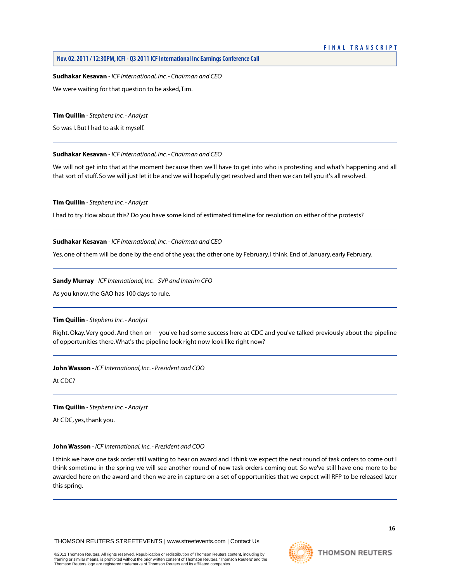**Sudhakar Kesavan** *- ICF International, Inc. - Chairman and CEO*

We were waiting for that question to be asked,Tim.

#### **Tim Quillin** *- Stephens Inc. - Analyst*

So was I. But I had to ask it myself.

#### **Sudhakar Kesavan** *- ICF International, Inc. - Chairman and CEO*

We will not get into that at the moment because then we'll have to get into who is protesting and what's happening and all that sort of stuff. So we will just let it be and we will hopefully get resolved and then we can tell you it's all resolved.

# **Tim Quillin** *- Stephens Inc. - Analyst*

I had to try. How about this? Do you have some kind of estimated timeline for resolution on either of the protests?

#### **Sudhakar Kesavan** *- ICF International, Inc. - Chairman and CEO*

Yes, one of them will be done by the end of the year, the other one by February, I think. End of January, early February.

#### **Sandy Murray** *- ICF International, Inc. - SVP and Interim CFO*

As you know, the GAO has 100 days to rule.

# **Tim Quillin** *- Stephens Inc. - Analyst*

Right. Okay.Very good. And then on -- you've had some success here at CDC and you've talked previously about the pipeline of opportunities there.What's the pipeline look right now look like right now?

#### **John Wasson** *- ICF International, Inc. - President and COO*

At CDC?

#### **Tim Quillin** *- Stephens Inc. - Analyst*

At CDC, yes, thank you.

#### **John Wasson** *- ICF International, Inc. - President and COO*

I think we have one task order still waiting to hear on award and I think we expect the next round of task orders to come out I think sometime in the spring we will see another round of new task orders coming out. So we've still have one more to be awarded here on the award and then we are in capture on a set of opportunities that we expect will RFP to be released later this spring.

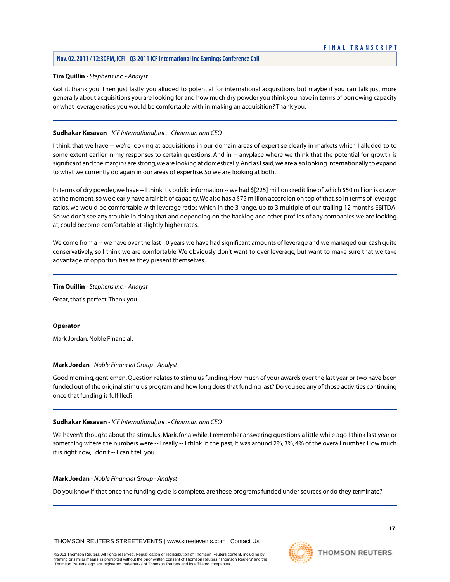#### **Tim Quillin** *- Stephens Inc. - Analyst*

Got it, thank you. Then just lastly, you alluded to potential for international acquisitions but maybe if you can talk just more generally about acquisitions you are looking for and how much dry powder you think you have in terms of borrowing capacity or what leverage ratios you would be comfortable with in making an acquisition? Thank you.

#### **Sudhakar Kesavan** *- ICF International, Inc. - Chairman and CEO*

I think that we have -- we're looking at acquisitions in our domain areas of expertise clearly in markets which I alluded to to some extent earlier in my responses to certain questions. And in -- anyplace where we think that the potential for growth is significant and the margins are strong, we are looking at domestically. And as I said, we are also looking internationally to expand to what we currently do again in our areas of expertise. So we are looking at both.

In terms of dry powder, we have -- I think it's public information -- we had \$[225] million credit line of which \$50 million is drawn at the moment, so we clearly have a fair bit of capacity.We also has a \$75 million accordion on top of that, so in terms of leverage ratios, we would be comfortable with leverage ratios which in the 3 range, up to 3 multiple of our trailing 12 months EBITDA. So we don't see any trouble in doing that and depending on the backlog and other profiles of any companies we are looking at, could become comfortable at slightly higher rates.

We come from a -- we have over the last 10 years we have had significant amounts of leverage and we managed our cash quite conservatively, so I think we are comfortable. We obviously don't want to over leverage, but want to make sure that we take advantage of opportunities as they present themselves.

#### **Tim Quillin** *- Stephens Inc. - Analyst*

Great, that's perfect.Thank you.

#### <span id="page-17-0"></span>**Operator**

Mark Jordan, Noble Financial.

#### **Mark Jordan** *- Noble Financial Group - Analyst*

Good morning, gentlemen. Question relates to stimulus funding. How much of your awards over the last year or two have been funded out of the original stimulus program and how long does that funding last? Do you see any of those activities continuing once that funding is fulfilled?

#### **Sudhakar Kesavan** *- ICF International, Inc. - Chairman and CEO*

We haven't thought about the stimulus, Mark, for a while. I remember answering questions a little while ago I think last year or something where the numbers were -- I really -- I think in the past, it was around 2%, 3%, 4% of the overall number. How much it is right now, I don't -- I can't tell you.

#### **Mark Jordan** *- Noble Financial Group - Analyst*

Do you know if that once the funding cycle is complete, are those programs funded under sources or do they terminate?

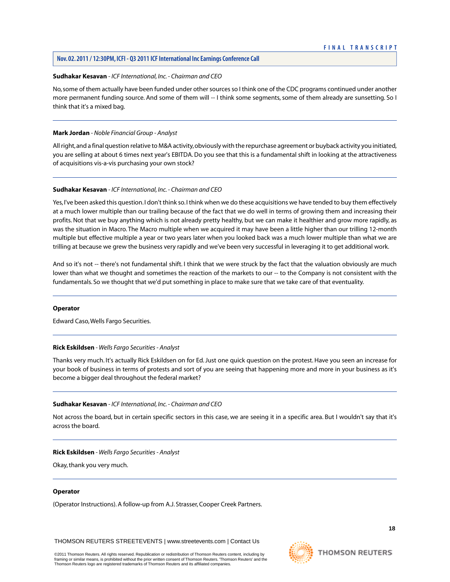#### **Sudhakar Kesavan** *- ICF International, Inc. - Chairman and CEO*

No, some of them actually have been funded under other sources so I think one of the CDC programs continued under another more permanent funding source. And some of them will -- I think some segments, some of them already are sunsetting. So I think that it's a mixed bag.

#### **Mark Jordan** *- Noble Financial Group - Analyst*

All right, and a final question relative to M&A activity, obviously with the repurchase agreement or buyback activity you initiated, you are selling at about 6 times next year's EBITDA. Do you see that this is a fundamental shift in looking at the attractiveness of acquisitions vis-a-vis purchasing your own stock?

#### **Sudhakar Kesavan** *- ICF International, Inc. - Chairman and CEO*

Yes, I've been asked this question. I don't think so. I think when we do these acquisitions we have tended to buy them effectively at a much lower multiple than our trailing because of the fact that we do well in terms of growing them and increasing their profits. Not that we buy anything which is not already pretty healthy, but we can make it healthier and grow more rapidly, as was the situation in Macro. The Macro multiple when we acquired it may have been a little higher than our trilling 12-month multiple but effective multiple a year or two years later when you looked back was a much lower multiple than what we are trilling at because we grew the business very rapidly and we've been very successful in leveraging it to get additional work.

And so it's not -- there's not fundamental shift. I think that we were struck by the fact that the valuation obviously are much lower than what we thought and sometimes the reaction of the markets to our -- to the Company is not consistent with the fundamentals. So we thought that we'd put something in place to make sure that we take care of that eventuality.

#### <span id="page-18-0"></span>**Operator**

Edward Caso,Wells Fargo Securities.

# **Rick Eskildsen** *- Wells Fargo Securities - Analyst*

Thanks very much. It's actually Rick Eskildsen on for Ed. Just one quick question on the protest. Have you seen an increase for your book of business in terms of protests and sort of you are seeing that happening more and more in your business as it's become a bigger deal throughout the federal market?

#### **Sudhakar Kesavan** *- ICF International, Inc. - Chairman and CEO*

Not across the board, but in certain specific sectors in this case, we are seeing it in a specific area. But I wouldn't say that it's across the board.

#### **Rick Eskildsen** *- Wells Fargo Securities - Analyst*

Okay, thank you very much.

#### **Operator**

(Operator Instructions). A follow-up from A.J. Strasser, Cooper Creek Partners.

THOMSON REUTERS STREETEVENTS | [www.streetevents.com](http://www.streetevents.com) | [Contact Us](http://www010.streetevents.com/contact.asp)

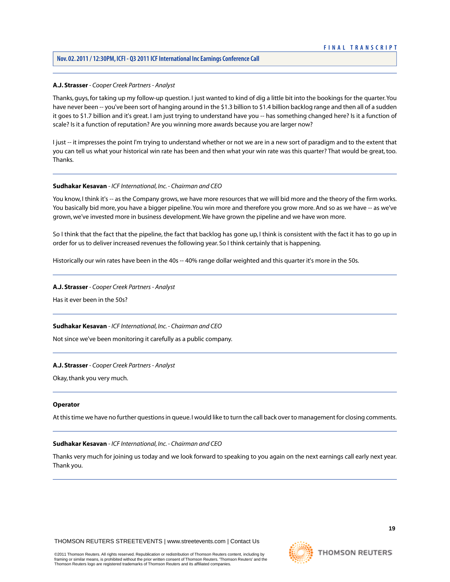# **Nov. 02. 2011 / 12:30PM, ICFI - Q3 2011 ICF International Inc Earnings Conference Call**

## **A.J. Strasser** *- Cooper Creek Partners - Analyst*

Thanks, guys, for taking up my follow-up question. I just wanted to kind of dig a little bit into the bookings for the quarter.You have never been -- you've been sort of hanging around in the \$1.3 billion to \$1.4 billion backlog range and then all of a sudden it goes to \$1.7 billion and it's great. I am just trying to understand have you -- has something changed here? Is it a function of scale? Is it a function of reputation? Are you winning more awards because you are larger now?

I just -- it impresses the point I'm trying to understand whether or not we are in a new sort of paradigm and to the extent that you can tell us what your historical win rate has been and then what your win rate was this quarter? That would be great, too. Thanks.

#### **Sudhakar Kesavan** *- ICF International, Inc. - Chairman and CEO*

You know, I think it's -- as the Company grows, we have more resources that we will bid more and the theory of the firm works. You basically bid more, you have a bigger pipeline.You win more and therefore you grow more. And so as we have -- as we've grown, we've invested more in business development.We have grown the pipeline and we have won more.

So I think that the fact that the pipeline, the fact that backlog has gone up, I think is consistent with the fact it has to go up in order for us to deliver increased revenues the following year. So I think certainly that is happening.

Historically our win rates have been in the 40s -- 40% range dollar weighted and this quarter it's more in the 50s.

#### **A.J. Strasser** *- Cooper Creek Partners - Analyst*

Has it ever been in the 50s?

#### **Sudhakar Kesavan** *- ICF International, Inc. - Chairman and CEO*

Not since we've been monitoring it carefully as a public company.

#### **A.J. Strasser** *- Cooper Creek Partners - Analyst*

Okay, thank you very much.

#### **Operator**

At this time we have no further questions in queue. I would like to turn the call back over to management for closing comments.

#### **Sudhakar Kesavan** *- ICF International, Inc. - Chairman and CEO*

Thanks very much for joining us today and we look forward to speaking to you again on the next earnings call early next year. Thank you.